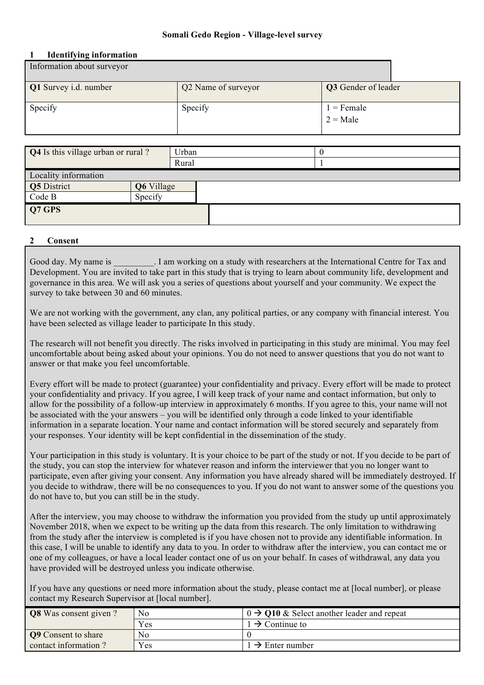### **Somali Gedo Region - Village-level survey**

#### **1 Identifying information**

| Information about surveyor   |                     |                            |  |
|------------------------------|---------------------|----------------------------|--|
| <b>Q1</b> Survey i.d. number | Q2 Name of surveyor | Q3 Gender of leader        |  |
| Specify                      | Specify             | $1 =$ Female<br>$2 = Male$ |  |

| <b>Q4</b> Is this village urban or rural? |            | Urban | -0 |
|-------------------------------------------|------------|-------|----|
|                                           |            | Rural |    |
| Locality information                      |            |       |    |
| Q5 District                               | Q6 Village |       |    |
| Code B                                    | Specify    |       |    |
| Q7 GPS                                    |            |       |    |

## **2 Consent**

Good day. My name is  $\qquad \qquad$  I am working on a study with researchers at the International Centre for Tax and Development. You are invited to take part in this study that is trying to learn about community life, development and governance in this area. We will ask you a series of questions about yourself and your community. We expect the survey to take between 30 and 60 minutes.

We are not working with the government, any clan, any political parties, or any company with financial interest. You have been selected as village leader to participate In this study.

The research will not benefit you directly. The risks involved in participating in this study are minimal. You may feel uncomfortable about being asked about your opinions. You do not need to answer questions that you do not want to answer or that make you feel uncomfortable.

Every effort will be made to protect (guarantee) your confidentiality and privacy. Every effort will be made to protect your confidentiality and privacy. If you agree, I will keep track of your name and contact information, but only to allow for the possibility of a follow-up interview in approximately 6 months. If you agree to this, your name will not be associated with the your answers – you will be identified only through a code linked to your identifiable information in a separate location. Your name and contact information will be stored securely and separately from your responses. Your identity will be kept confidential in the dissemination of the study.

Your participation in this study is voluntary. It is your choice to be part of the study or not. If you decide to be part of the study, you can stop the interview for whatever reason and inform the interviewer that you no longer want to participate, even after giving your consent. Any information you have already shared will be immediately destroyed. If you decide to withdraw, there will be no consequences to you. If you do not want to answer some of the questions you do not have to, but you can still be in the study.

After the interview, you may choose to withdraw the information you provided from the study up until approximately November 2018, when we expect to be writing up the data from this research. The only limitation to withdrawing from the study after the interview is completed is if you have chosen not to provide any identifiable information. In this case, I will be unable to identify any data to you. In order to withdraw after the interview, you can contact me or one of my colleagues, or have a local leader contact one of us on your behalf. In cases of withdrawal, any data you have provided will be destroyed unless you indicate otherwise.

If you have any questions or need more information about the study, please contact me at [local number], or please contact my Research Supervisor at [local number].

| <b>Q8</b> Was consent given? | No  | $\theta \rightarrow Q10$ & Select another leader and repeat |
|------------------------------|-----|-------------------------------------------------------------|
|                              | Yes | $\rightarrow$ Continue to                                   |
| <b>Q9</b> Consent to share   | No  |                                                             |
| contact information?         | Yes | $\rightarrow$ Enter number                                  |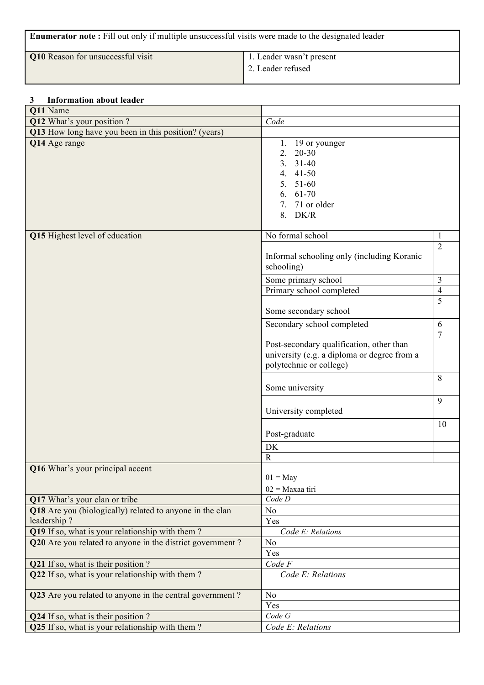| <b>Enumerator note:</b> Fill out only if multiple unsuccessful visits were made to the designated leader |                   |  |  |  |
|----------------------------------------------------------------------------------------------------------|-------------------|--|--|--|
| <b>Q10</b> Reason for unsuccessful visit<br>1. Leader wasn't present                                     |                   |  |  |  |
|                                                                                                          | 2. Leader refused |  |  |  |
|                                                                                                          |                   |  |  |  |

## **3 Information about leader**

| Q11 Name                                                                                                     |                                                                                                                                           |                |
|--------------------------------------------------------------------------------------------------------------|-------------------------------------------------------------------------------------------------------------------------------------------|----------------|
| Q12 What's your position ?                                                                                   | Code                                                                                                                                      |                |
| Q13 How long have you been in this position? (years)                                                         |                                                                                                                                           |                |
| Q14 Age range                                                                                                | 1. 19 or younger<br>2.<br>$20 - 30$<br>3 <sub>1</sub><br>$31 - 40$<br>4. 41-50<br>$5. 51-60$<br>$6. 61-70$<br>7. 71 or older<br>$8.$ DK/R |                |
| Q15 Highest level of education                                                                               | No formal school                                                                                                                          | 1              |
|                                                                                                              | Informal schooling only (including Koranic<br>schooling)                                                                                  | $\overline{2}$ |
|                                                                                                              | Some primary school                                                                                                                       | 3              |
|                                                                                                              | Primary school completed                                                                                                                  | $\overline{4}$ |
|                                                                                                              | Some secondary school                                                                                                                     | 5              |
|                                                                                                              | Secondary school completed                                                                                                                | 6              |
|                                                                                                              | Post-secondary qualification, other than<br>university (e.g. a diploma or degree from a<br>polytechnic or college)                        | 7              |
|                                                                                                              | Some university                                                                                                                           | 8              |
|                                                                                                              | University completed                                                                                                                      | 9              |
|                                                                                                              | Post-graduate                                                                                                                             | 10             |
|                                                                                                              | DK                                                                                                                                        |                |
|                                                                                                              | $\mathbf R$                                                                                                                               |                |
| Q16 What's your principal accent                                                                             | $01 =$ May<br>$02$ = Maxaa tiri                                                                                                           |                |
| Q17 What's your clan or tribe                                                                                | Code D                                                                                                                                    |                |
| Q18 Are you (biologically) related to anyone in the clan                                                     | N <sub>0</sub>                                                                                                                            |                |
| leadership?                                                                                                  | Yes                                                                                                                                       |                |
| Q19 If so, what is your relationship with them?<br>Q20 Are you related to anyone in the district government? | Code E: Relations<br>No                                                                                                                   |                |
|                                                                                                              | Yes                                                                                                                                       |                |
| <b>Q21</b> If so, what is their position ?                                                                   | Code F                                                                                                                                    |                |
| Q22 If so, what is your relationship with them?                                                              | Code E: Relations                                                                                                                         |                |
| Q23 Are you related to anyone in the central government?                                                     | No                                                                                                                                        |                |
|                                                                                                              | Yes                                                                                                                                       |                |
| Q24 If so, what is their position?                                                                           | Code G                                                                                                                                    |                |
| Q25 If so, what is your relationship with them?                                                              | Code E: Relations                                                                                                                         |                |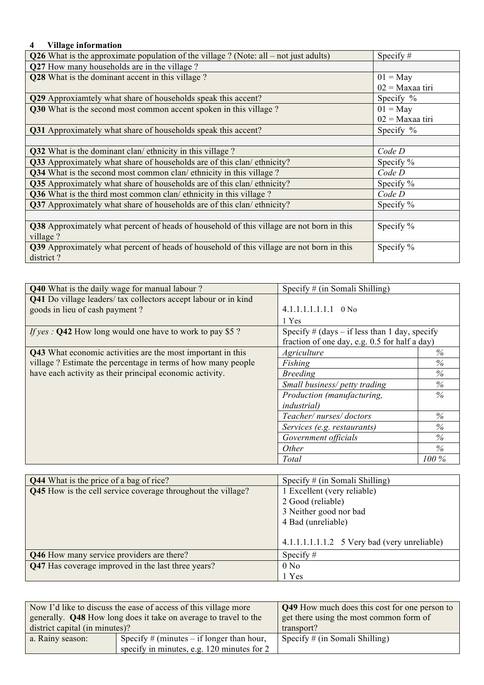## **4 Village information**

| Q26 What is the approximate population of the village ? (Note: all $-$ not just adults)          | Specify $#$       |
|--------------------------------------------------------------------------------------------------|-------------------|
| Q27 How many households are in the village?                                                      |                   |
| Q28 What is the dominant accent in this village?                                                 | $01 =$ May        |
|                                                                                                  | $02$ = Maxaa tiri |
| Q29 Approxiamtely what share of households speak this accent?                                    | Specify %         |
| Q30 What is the second most common accent spoken in this village?                                | $01 =$ May        |
|                                                                                                  | $02$ = Maxaa tiri |
| Q31 Approximately what share of households speak this accent?                                    | Specify %         |
|                                                                                                  |                   |
| Q32 What is the dominant clan/ethnicity in this village?                                         | Code D            |
| Q33 Approximately what share of households are of this clan/ethnicity?                           | Specify $%$       |
| Q34 What is the second most common clan/ ethnicity in this village?                              | Code D            |
| Q35 Approximately what share of households are of this clan/ethnicity?                           | Specify $%$       |
| Q36 What is the third most common clan/ethnicity in this village?                                | Code D            |
| <b>Q37</b> Approximately what share of households are of this clan/ethnicity?                    | Specify %         |
|                                                                                                  |                   |
| <b>Q38</b> Approximately what percent of heads of household of this village are not born in this | Specify %         |
| village?                                                                                         |                   |
| Q39 Approximately what percent of heads of household of this village are not born in this        | Specify %         |
| district?                                                                                        |                   |

| <b>Q40</b> What is the daily wage for manual labour?                   | Specify $#$ (in Somali Shilling)                |         |
|------------------------------------------------------------------------|-------------------------------------------------|---------|
| <b>Q41</b> Do village leaders/ tax collectors accept labour or in kind |                                                 |         |
| goods in lieu of cash payment?                                         | $4.1.1.1.1.1.1.1$ 0 No                          |         |
|                                                                        | 1 Yes                                           |         |
| <i>If yes</i> : <b>Q42</b> How long would one have to work to pay \$5? | Specify $#$ (days – if less than 1 day, specify |         |
|                                                                        | fraction of one day, e.g. 0.5 for half a day)   |         |
| Q43 What economic activities are the most important in this            | Agriculture                                     | $\%$    |
| village? Estimate the percentage in terms of how many people           | Fishing                                         | $\%$    |
| have each activity as their principal economic activity.               | <b>Breeding</b>                                 | $\%$    |
|                                                                        | Small business/ petty trading                   | %       |
|                                                                        | Production (manufacturing,                      | $\%$    |
|                                                                        | <i>industrial</i> )                             |         |
|                                                                        | Teacher/nurses/doctors                          | %       |
|                                                                        | Services (e.g. restaurants)                     | $\%$    |
|                                                                        | Government officials                            | %       |
|                                                                        | Other                                           | $\%$    |
|                                                                        | Total                                           | $100\%$ |

| <b>Q44</b> What is the price of a bag of rice?               | Specify $#$ (in Somali Shilling)               |  |  |
|--------------------------------------------------------------|------------------------------------------------|--|--|
| Q45 How is the cell service coverage throughout the village? | 1 Excellent (very reliable)                    |  |  |
|                                                              | 2 Good (reliable)                              |  |  |
|                                                              | 3 Neither good nor bad                         |  |  |
|                                                              | 4 Bad (unreliable)                             |  |  |
|                                                              |                                                |  |  |
|                                                              | $4.1.1.1.1.1.1.2$ 5 Very bad (very unreliable) |  |  |
| Q46 How many service providers are there?                    | Specify $#$                                    |  |  |
| Q47 Has coverage improved in the last three years?           | 0 N <sub>0</sub>                               |  |  |
|                                                              | 1 Yes                                          |  |  |

|                                                                 | Now I'd like to discuss the ease of access of this village more         | <b>Q49</b> How much does this cost for one person to |  |  |
|-----------------------------------------------------------------|-------------------------------------------------------------------------|------------------------------------------------------|--|--|
|                                                                 | generally. <b>Q48</b> How long does it take on average to travel to the | get there using the most common form of              |  |  |
| district capital (in minutes)?                                  |                                                                         | transport?                                           |  |  |
| Specify $#$ (minutes – if longer than hour,<br>a. Rainy season: |                                                                         | Specify $\#$ (in Somali Shilling)                    |  |  |
|                                                                 | specify in minutes, e.g. 120 minutes for 2                              |                                                      |  |  |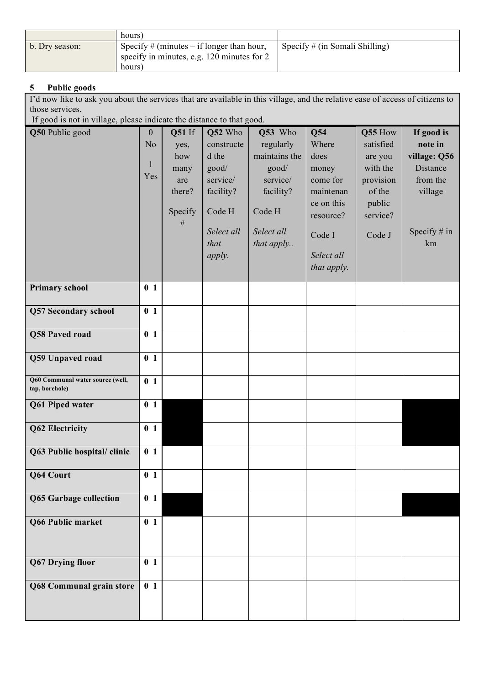|                | hours)                                                                                              |                                   |
|----------------|-----------------------------------------------------------------------------------------------------|-----------------------------------|
| b. Dry season: | Specify $#$ (minutes – if longer than hour,<br>specify in minutes, e.g. 120 minutes for 2<br>hours) | Specify $\#$ (in Somali Shilling) |

# **5 Public goods**

I'd now like to ask you about the services that are available in this village, and the relative ease of access of citizens to those services.

If good is not in village, please indicate the distance to that good.

| Q50 Public good                                    | $\boldsymbol{0}$<br>N <sub>o</sub><br>1<br>Yes | Q51 If<br>yes,<br>how<br>many<br>are<br>there?<br>Specify | Q52 Who<br>constructe<br>d the<br>good/<br>service/<br>facility?<br>Code H | Q53 Who<br>regularly<br>maintains the<br>good/<br>service/<br>facility?<br>Code H | Q54<br>Where<br>does<br>money<br>come for<br>maintenan<br>ce on this | Q55 How<br>satisfied<br>are you<br>with the<br>provision<br>of the<br>public | If good is<br>note in<br>village: Q56<br>Distance<br>from the<br>village |
|----------------------------------------------------|------------------------------------------------|-----------------------------------------------------------|----------------------------------------------------------------------------|-----------------------------------------------------------------------------------|----------------------------------------------------------------------|------------------------------------------------------------------------------|--------------------------------------------------------------------------|
|                                                    |                                                | $\#$                                                      | Select all<br>that<br>apply.                                               | Select all<br>that apply                                                          | resource?<br>Code I<br>Select all<br>that apply.                     | service?<br>Code J                                                           | Specify $#$ in<br>km                                                     |
| <b>Primary school</b>                              | 0 <sub>1</sub>                                 |                                                           |                                                                            |                                                                                   |                                                                      |                                                                              |                                                                          |
| <b>Q57 Secondary school</b>                        | 0 <sub>1</sub>                                 |                                                           |                                                                            |                                                                                   |                                                                      |                                                                              |                                                                          |
| Q58 Paved road                                     | 0 <sub>1</sub>                                 |                                                           |                                                                            |                                                                                   |                                                                      |                                                                              |                                                                          |
| Q59 Unpaved road                                   | 0 <sub>1</sub>                                 |                                                           |                                                                            |                                                                                   |                                                                      |                                                                              |                                                                          |
| Q60 Communal water source (well,<br>tap, borehole) | 0 <sub>1</sub>                                 |                                                           |                                                                            |                                                                                   |                                                                      |                                                                              |                                                                          |
| Q61 Piped water                                    | 0 <sub>1</sub>                                 |                                                           |                                                                            |                                                                                   |                                                                      |                                                                              |                                                                          |
| <b>Q62 Electricity</b>                             | 0 <sub>1</sub>                                 |                                                           |                                                                            |                                                                                   |                                                                      |                                                                              |                                                                          |
| Q63 Public hospital/clinic                         | 0 <sub>1</sub>                                 |                                                           |                                                                            |                                                                                   |                                                                      |                                                                              |                                                                          |
| Q64 Court                                          | 0 <sub>1</sub>                                 |                                                           |                                                                            |                                                                                   |                                                                      |                                                                              |                                                                          |
| Q65 Garbage collection                             | 0 <sub>1</sub>                                 |                                                           |                                                                            |                                                                                   |                                                                      |                                                                              |                                                                          |
| Q66 Public market                                  | 0 <sub>1</sub>                                 |                                                           |                                                                            |                                                                                   |                                                                      |                                                                              |                                                                          |
| <b>Q67 Drying floor</b>                            | 0 <sub>1</sub>                                 |                                                           |                                                                            |                                                                                   |                                                                      |                                                                              |                                                                          |
| Q68 Communal grain store                           | 0 <sub>1</sub>                                 |                                                           |                                                                            |                                                                                   |                                                                      |                                                                              |                                                                          |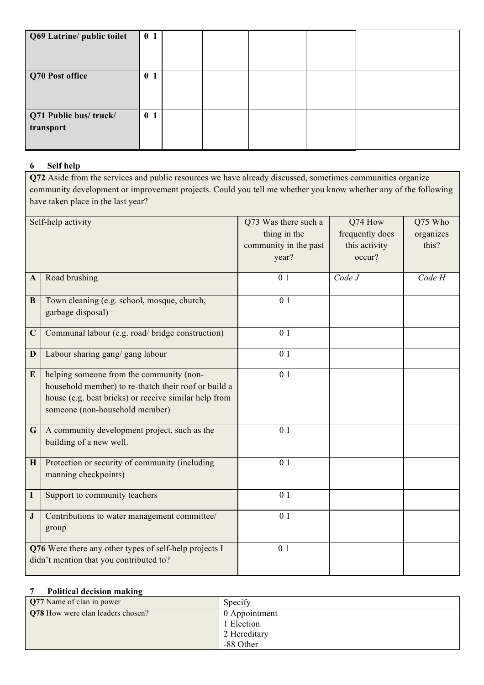| Q69 Latrine/ public toilet         | 0 <sub>1</sub> |  |  |  |
|------------------------------------|----------------|--|--|--|
| Q70 Post office                    | 0 <sub>1</sub> |  |  |  |
| Q71 Public bus/truck/<br>transport | 0 <sub>1</sub> |  |  |  |

# **6 Self help**

**Q72** Aside from the services and public resources we have already discussed, sometimes communities organize community development or improvement projects. Could you tell me whether you know whether any of the following have taken place in the last year?

| Self-help activity |                                                        | Q73 Was there such a  | Q74 How         | Q75 Who   |
|--------------------|--------------------------------------------------------|-----------------------|-----------------|-----------|
|                    |                                                        |                       |                 |           |
|                    |                                                        | thing in the          | frequently does | organizes |
|                    |                                                        | community in the past | this activity   | this?     |
|                    |                                                        | year?                 | occur?          |           |
|                    |                                                        |                       |                 |           |
| A                  | Road brushing                                          | 0 <sub>1</sub>        | Code J          | Code H    |
|                    |                                                        |                       |                 |           |
| B                  | Town cleaning (e.g. school, mosque, church,            | 0 <sub>1</sub>        |                 |           |
|                    | garbage disposal)                                      |                       |                 |           |
|                    |                                                        |                       |                 |           |
| $\mathbf C$        | Communal labour (e.g. road/ bridge construction)       | 0 <sub>1</sub>        |                 |           |
|                    |                                                        |                       |                 |           |
| D                  | Labour sharing gang/ gang labour                       | 0 <sub>1</sub>        |                 |           |
|                    |                                                        |                       |                 |           |
| E                  | helping someone from the community (non-               | 0 <sub>1</sub>        |                 |           |
|                    | household member) to re-thatch their roof or build a   |                       |                 |           |
|                    | house (e.g. beat bricks) or receive similar help from  |                       |                 |           |
|                    |                                                        |                       |                 |           |
|                    | someone (non-household member)                         |                       |                 |           |
| G                  | A community development project, such as the           | 0 <sub>1</sub>        |                 |           |
|                    | building of a new well.                                |                       |                 |           |
|                    |                                                        |                       |                 |           |
| H                  | Protection or security of community (including         | 0 <sub>1</sub>        |                 |           |
|                    |                                                        |                       |                 |           |
|                    | manning checkpoints)                                   |                       |                 |           |
| $\mathbf I$        | Support to community teachers                          | 0 <sub>1</sub>        |                 |           |
|                    |                                                        |                       |                 |           |
| ${\bf J}$          | Contributions to water management committee/           | 0 <sub>1</sub>        |                 |           |
|                    | group                                                  |                       |                 |           |
|                    |                                                        |                       |                 |           |
|                    | Q76 Were there any other types of self-help projects I | 0 <sub>1</sub>        |                 |           |
|                    | didn't mention that you contributed to?                |                       |                 |           |
|                    |                                                        |                       |                 |           |

### **7 Political decision making**

| <b>Q77</b> Name of clan in power         | Specify       |
|------------------------------------------|---------------|
| <b>Q78</b> How were clan leaders chosen? | 0 Appointment |
|                                          | 1 Election    |
|                                          | 2 Hereditary  |
|                                          | -88 Other     |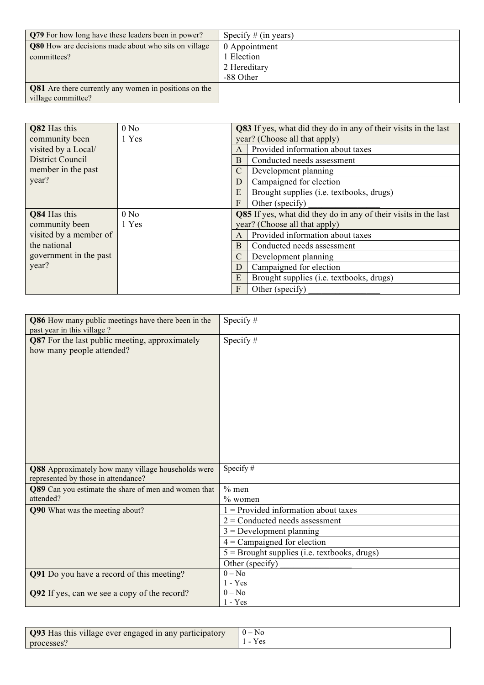| <b>Q79</b> For how long have these leaders been in power?    | Specify $#$ (in years) |
|--------------------------------------------------------------|------------------------|
| Q80 How are decisions made about who sits on village         | 0 Appointment          |
| committees?                                                  | 1 Election             |
|                                                              | 2 Hereditary           |
|                                                              | -88 Other              |
| <b>Q81</b> Are there currently any women in positions on the |                        |
| village committee?                                           |                        |

| Q82 Has this            | 0 N <sub>0</sub> | Q83 If yes, what did they do in any of their visits in the last |                                          |  |  |
|-------------------------|------------------|-----------------------------------------------------------------|------------------------------------------|--|--|
| community been          | 1 Yes            | year? (Choose all that apply)                                   |                                          |  |  |
| visited by a Local/     |                  |                                                                 | Provided information about taxes         |  |  |
| <b>District Council</b> |                  | B                                                               | Conducted needs assessment               |  |  |
| member in the past      |                  |                                                                 | Development planning                     |  |  |
| year?                   |                  | D                                                               | Campaigned for election                  |  |  |
|                         |                  | E                                                               | Brought supplies (i.e. textbooks, drugs) |  |  |
|                         |                  | F<br>Other (specify)                                            |                                          |  |  |
| Q84 Has this            | 0 N <sub>0</sub> | Q85 If yes, what did they do in any of their visits in the last |                                          |  |  |
| community been          | 1 Yes            | year? (Choose all that apply)                                   |                                          |  |  |
| visited by a member of  |                  | Provided information about taxes                                |                                          |  |  |
| the national            |                  | B<br>Conducted needs assessment                                 |                                          |  |  |
| government in the past  |                  |                                                                 | Development planning                     |  |  |
| year?                   |                  | D                                                               | Campaigned for election                  |  |  |
|                         |                  | E                                                               | Brought supplies (i.e. textbooks, drugs) |  |  |
|                         |                  | F                                                               | Other (specify)                          |  |  |

| Q86 How many public meetings have there been in the<br>past year in this village? | Specify $#$                                    |
|-----------------------------------------------------------------------------------|------------------------------------------------|
| <b>Q87</b> For the last public meeting, approximately                             | Specify $#$                                    |
| how many people attended?                                                         |                                                |
|                                                                                   |                                                |
|                                                                                   |                                                |
|                                                                                   |                                                |
|                                                                                   |                                                |
|                                                                                   |                                                |
|                                                                                   |                                                |
|                                                                                   |                                                |
|                                                                                   |                                                |
|                                                                                   |                                                |
|                                                                                   |                                                |
| Q88 Approximately how many village households were                                | Specify#                                       |
| represented by those in attendance?                                               |                                                |
| Q89 Can you estimate the share of men and women that                              | $%$ men                                        |
| attended?                                                                         | $%$ women                                      |
| Q90 What was the meeting about?                                                   | $=$ Provided information about taxes           |
|                                                                                   | $2$ = Conducted needs assessment               |
|                                                                                   | $3 =$ Development planning                     |
|                                                                                   | $4$ = Campaigned for election                  |
|                                                                                   | $5 =$ Brought supplies (i.e. textbooks, drugs) |
|                                                                                   | Other (specify)                                |
| Q91 Do you have a record of this meeting?                                         | $0 - No$                                       |
|                                                                                   | $1 - Yes$                                      |
| Q92 If yes, can we see a copy of the record?                                      | $0 - No$<br>$1 - Yes$                          |
|                                                                                   |                                                |

| Q93 Has this village ever engaged in any participatory | $0 - No$ |
|--------------------------------------------------------|----------|
| processes?                                             |          |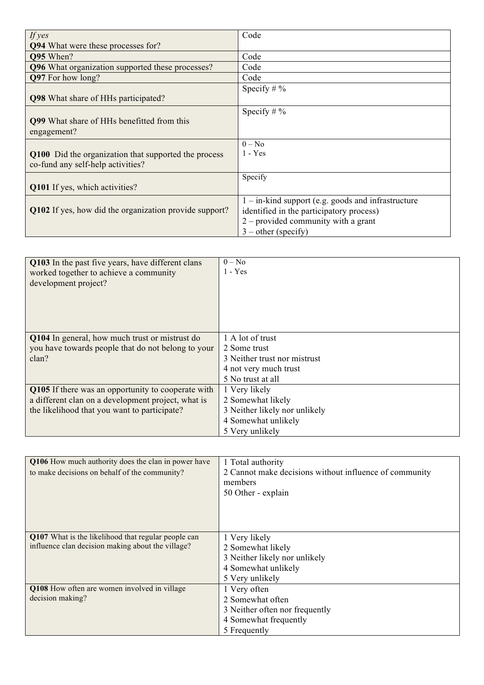| If $yes$                                               | Code                                                 |
|--------------------------------------------------------|------------------------------------------------------|
| <b>Q94</b> What were these processes for?              |                                                      |
| <b>O95</b> When?                                       | Code                                                 |
| Q96 What organization supported these processes?       | Code                                                 |
| Q97 For how long?                                      | Code                                                 |
|                                                        | Specify $\# \%$                                      |
| <b>Q98</b> What share of HHs participated?             |                                                      |
|                                                        | Specify # $%$                                        |
| <b>Q99</b> What share of HHs benefitted from this      |                                                      |
| engagement?                                            |                                                      |
|                                                        | $0 - No$                                             |
| Q100 Did the organization that supported the process   | $1 - Yes$                                            |
| co-fund any self-help activities?                      |                                                      |
|                                                        | Specify                                              |
| Q101 If yes, which activities?                         |                                                      |
|                                                        | $1 -$ in-kind support (e.g. goods and infrastructure |
| Q102 If yes, how did the organization provide support? | identified in the participatory process)             |
|                                                        | $2$ – provided community with a grant                |
|                                                        | $3$ – other (specify)                                |

| Q103 In the past five years, have different clans<br>worked together to achieve a community<br>development project?                                      | $0 - No$<br>1 - Yes                                                                                            |
|----------------------------------------------------------------------------------------------------------------------------------------------------------|----------------------------------------------------------------------------------------------------------------|
| Q104 In general, how much trust or mistrust do<br>you have towards people that do not belong to your<br>clan?                                            | 1 A lot of trust<br>2 Some trust<br>3 Neither trust nor mistrust<br>4 not very much trust<br>5 No trust at all |
| Q105 If there was an opportunity to cooperate with<br>a different clan on a development project, what is<br>the likelihood that you want to participate? | 1 Very likely<br>2 Somewhat likely<br>3 Neither likely nor unlikely<br>4 Somewhat unlikely<br>5 Very unlikely  |

| Q106 How much authority does the clan in power have<br>to make decisions on behalf of the community?     | 1 Total authority<br>2 Cannot make decisions without influence of community<br>members<br>50 Other - explain  |
|----------------------------------------------------------------------------------------------------------|---------------------------------------------------------------------------------------------------------------|
| Q107 What is the likelihood that regular people can<br>influence clan decision making about the village? | 1 Very likely<br>2 Somewhat likely<br>3 Neither likely nor unlikely<br>4 Somewhat unlikely<br>5 Very unlikely |
| Q108 How often are women involved in village<br>decision making?                                         | 1 Very often<br>2 Somewhat often<br>3 Neither often nor frequently<br>4 Somewhat frequently<br>5 Frequently   |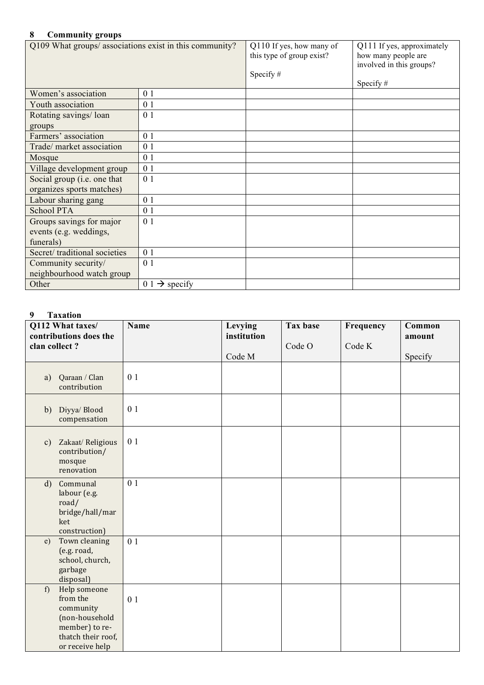## **8 Community groups**

| Community groups                                                |                           |                                                                      |                                                                                              |  |  |  |
|-----------------------------------------------------------------|---------------------------|----------------------------------------------------------------------|----------------------------------------------------------------------------------------------|--|--|--|
| Q109 What groups/ associations exist in this community?         |                           | Q110 If yes, how many of<br>this type of group exist?<br>Specify $#$ | Q111 If yes, approximately<br>how many people are<br>involved in this groups?<br>Specify $#$ |  |  |  |
| Women's association                                             | 0 <sub>1</sub>            |                                                                      |                                                                                              |  |  |  |
| Youth association                                               | 0 1                       |                                                                      |                                                                                              |  |  |  |
| Rotating savings/loan<br>groups                                 | 0 <sub>1</sub>            |                                                                      |                                                                                              |  |  |  |
| Farmers' association                                            | 0 <sub>1</sub>            |                                                                      |                                                                                              |  |  |  |
| Trade/ market association                                       | 0 <sub>1</sub>            |                                                                      |                                                                                              |  |  |  |
| Mosque                                                          | 0 <sub>1</sub>            |                                                                      |                                                                                              |  |  |  |
| Village development group                                       | 0 <sub>1</sub>            |                                                                      |                                                                                              |  |  |  |
| Social group (i.e. one that<br>organizes sports matches)        | 0 <sub>1</sub>            |                                                                      |                                                                                              |  |  |  |
| Labour sharing gang                                             | 0 <sub>1</sub>            |                                                                      |                                                                                              |  |  |  |
| <b>School PTA</b>                                               | 0 <sub>1</sub>            |                                                                      |                                                                                              |  |  |  |
| Groups savings for major<br>events (e.g. weddings,<br>funerals) | 0 <sub>1</sub>            |                                                                      |                                                                                              |  |  |  |
| Secret/traditional societies                                    | 0 <sub>1</sub>            |                                                                      |                                                                                              |  |  |  |
| Community security/<br>neighbourhood watch group                | 0 <sub>1</sub>            |                                                                      |                                                                                              |  |  |  |
| Other                                                           | $0.1 \rightarrow$ specify |                                                                      |                                                                                              |  |  |  |

# **9 Taxation**

| clan collect? | Q112 What taxes/<br>contributions does the                                                                         | Name           | Levying<br>institution | Tax base<br>Code O | Frequency<br>Code K | Common<br>amount |
|---------------|--------------------------------------------------------------------------------------------------------------------|----------------|------------------------|--------------------|---------------------|------------------|
|               |                                                                                                                    |                | Code M                 |                    |                     | Specify          |
| a)            | Qaraan / Clan<br>contribution                                                                                      | 0 <sub>1</sub> |                        |                    |                     |                  |
|               | b) Diyya/ Blood<br>compensation                                                                                    | 0 <sub>1</sub> |                        |                    |                     |                  |
| $\mathbf{c})$ | Zakaat/Religious<br>contribution/<br>mosque<br>renovation                                                          | 0 <sub>1</sub> |                        |                    |                     |                  |
| $\mathbf{d}$  | Communal<br>labour (e.g.<br>road/<br>bridge/hall/mar<br>ket<br>construction)                                       | 0 1            |                        |                    |                     |                  |
| e)            | Town cleaning<br>(e.g. road,<br>school, church,<br>garbage<br>disposal)                                            | 0 <sub>1</sub> |                        |                    |                     |                  |
| f)            | Help someone<br>from the<br>community<br>(non-household<br>member) to re-<br>thatch their roof,<br>or receive help | 0 <sub>1</sub> |                        |                    |                     |                  |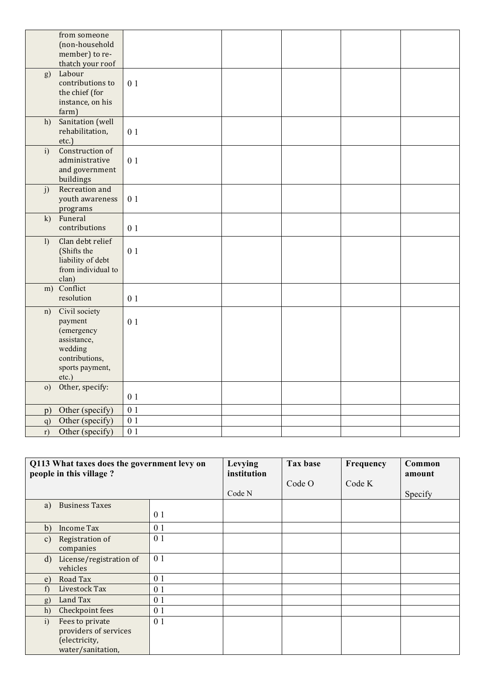|              | from someone               |                  |  |  |
|--------------|----------------------------|------------------|--|--|
|              | (non-household             |                  |  |  |
|              | member) to re-             |                  |  |  |
|              | thatch your roof<br>Labour |                  |  |  |
| g)           | contributions to           |                  |  |  |
|              | the chief (for             | 0 <sub>1</sub>   |  |  |
|              | instance, on his           |                  |  |  |
|              | farm)                      |                  |  |  |
| h)           | Sanitation (well           |                  |  |  |
|              | rehabilitation,            | 0 1              |  |  |
|              | etc.)                      |                  |  |  |
| i)           | Construction of            |                  |  |  |
|              | administrative             | 0 1              |  |  |
|              | and government             |                  |  |  |
|              | buildings                  |                  |  |  |
| j)           | Recreation and             |                  |  |  |
|              | youth awareness            | 0 <sub>1</sub>   |  |  |
|              | programs                   |                  |  |  |
| k)           | Funeral                    |                  |  |  |
|              | contributions              | 0 <sub>1</sub>   |  |  |
| $\mathbf{I}$ | Clan debt relief           |                  |  |  |
|              | (Shifts the                | 0 <sub>1</sub>   |  |  |
|              | liability of debt          |                  |  |  |
|              | from individual to         |                  |  |  |
|              | clan)<br>m) Conflict       |                  |  |  |
|              | resolution                 |                  |  |  |
|              |                            | 0 1              |  |  |
| n)           | Civil society              |                  |  |  |
|              | payment                    | 0 1              |  |  |
|              | (emergency                 |                  |  |  |
|              | assistance,<br>wedding     |                  |  |  |
|              | contributions,             |                  |  |  |
|              | sports payment,            |                  |  |  |
|              | etc.)                      |                  |  |  |
| $\circ$ )    | Other, specify:            |                  |  |  |
|              |                            | 0 <sub>1</sub>   |  |  |
| p)           | Other (specify)            | 0 <sub>1</sub>   |  |  |
| q)           | Other (specify)            | $\overline{01}$  |  |  |
| r)           | Other (specify)            | $\overline{0}$ 1 |  |  |

| Q113 What taxes does the government levy on<br>people in this village? |                         | Levying<br>institution | Tax base | Frequency | Common<br>amount |         |
|------------------------------------------------------------------------|-------------------------|------------------------|----------|-----------|------------------|---------|
|                                                                        |                         |                        |          | Code O    | Code K           |         |
|                                                                        |                         |                        | Code N   |           |                  | Specify |
| a)                                                                     | <b>Business Taxes</b>   |                        |          |           |                  |         |
|                                                                        |                         | 0 1                    |          |           |                  |         |
| b)                                                                     | <b>Income Tax</b>       | 0 <sub>1</sub>         |          |           |                  |         |
| $\mathcal{C}$ )                                                        | Registration of         | 0 <sub>1</sub>         |          |           |                  |         |
|                                                                        | companies               |                        |          |           |                  |         |
| $\rm d)$                                                               | License/registration of | 0 <sub>1</sub>         |          |           |                  |         |
|                                                                        | vehicles                |                        |          |           |                  |         |
| e)                                                                     | Road Tax                | 0 <sub>1</sub>         |          |           |                  |         |
| f)                                                                     | Livestock Tax           | 0 <sub>1</sub>         |          |           |                  |         |
| g)                                                                     | Land Tax                | 0 <sub>1</sub>         |          |           |                  |         |
| h)                                                                     | Checkpoint fees         | 0 <sub>1</sub>         |          |           |                  |         |
| i)                                                                     | Fees to private         | 0 1                    |          |           |                  |         |
|                                                                        | providers of services   |                        |          |           |                  |         |
|                                                                        | (electricity,           |                        |          |           |                  |         |
|                                                                        | water/sanitation,       |                        |          |           |                  |         |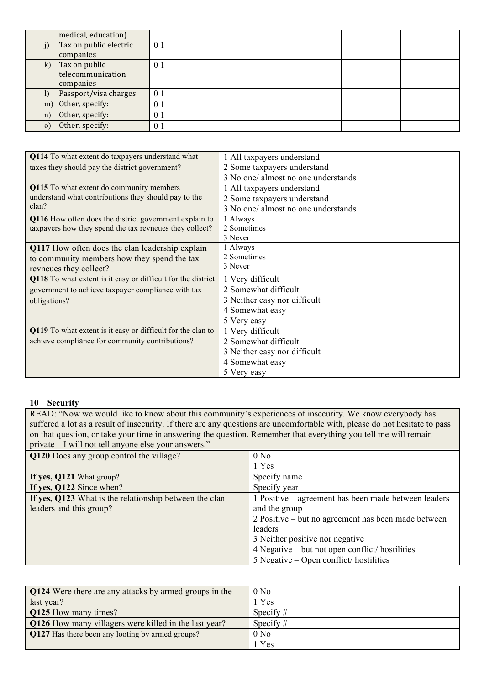|             | medical, education)    |                |  |  |
|-------------|------------------------|----------------|--|--|
| $_{\rm 1)}$ | Tax on public electric | 0 <sub>1</sub> |  |  |
|             | companies              |                |  |  |
|             | k) Tax on public       | 0 <sup>1</sup> |  |  |
|             | telecommunication      |                |  |  |
|             | companies              |                |  |  |
|             | Passport/visa charges  | 0 <sub>1</sub> |  |  |
| m)          | Other, specify:        | $0^-$          |  |  |
| n)          | Other, specify:        | $0^{\circ}$    |  |  |
| $\Omega$    | Other, specify:        | $0^{\circ}$    |  |  |

| Q114 To what extent do taxpayers understand what             | 1 All taxpayers understand          |
|--------------------------------------------------------------|-------------------------------------|
| taxes they should pay the district government?               | 2 Some taxpayers understand         |
|                                                              | 3 No one/ almost no one understands |
| Q115 To what extent do community members                     | 1 All taxpayers understand          |
| understand what contributions they should pay to the         | 2 Some taxpayers understand         |
| clan?                                                        | 3 No one/ almost no one understands |
| Q116 How often does the district government explain to       | 1 Always                            |
| taxpayers how they spend the tax revneues they collect?      | 2 Sometimes                         |
|                                                              | 3 Never                             |
| Q117 How often does the clan leadership explain              | 1 Always                            |
| to community members how they spend the tax                  | 2 Sometimes                         |
| revneues they collect?                                       | 3 Never                             |
| Q118 To what extent is it easy or difficult for the district | 1 Very difficult                    |
| government to achieve taxpayer compliance with tax           | 2 Somewhat difficult                |
| obligations?                                                 | 3 Neither easy nor difficult        |
|                                                              | 4 Somewhat easy                     |
|                                                              | 5 Very easy                         |
| Q119 To what extent is it easy or difficult for the clan to  | 1 Very difficult                    |
| achieve compliance for community contributions?              | 2 Somewhat difficult                |
|                                                              | 3 Neither easy nor difficult        |
|                                                              | 4 Somewhat easy                     |
|                                                              | 5 Very easy                         |

#### **10 Security**

READ: "Now we would like to know about this community's experiences of insecurity. We know everybody has suffered a lot as a result of insecurity. If there are any questions are uncomfortable with, please do not hesitate to pass on that question, or take your time in answering the question. Remember that everything you tell me will remain private – I will not tell anyone else your answers."

| Q120 Does any group control the village?               | 0 N <sub>0</sub>                                     |
|--------------------------------------------------------|------------------------------------------------------|
|                                                        | 1 Yes                                                |
| If yes, Q121 What group?                               | Specify name                                         |
| If yes, Q122 Since when?                               | Specify year                                         |
| If yes, Q123 What is the relationship between the clan | 1 Positive – agreement has been made between leaders |
| leaders and this group?                                | and the group                                        |
|                                                        | 2 Positive – but no agreement has been made between  |
|                                                        | leaders                                              |
|                                                        | 3 Neither positive nor negative                      |
|                                                        | 4 Negative – but not open conflict/ hostilities      |
|                                                        | $5$ Negative – Open conflict/hostilities             |

| <b>Q124</b> Were there are any attacks by armed groups in the | 0 N <sub>0</sub> |
|---------------------------------------------------------------|------------------|
| last year?                                                    | Yes              |
| Q125 How many times?                                          | Specify $#$      |
| Q126 How many villagers were killed in the last year?         | Specify $#$      |
| Q127 Has there been any looting by armed groups?              | 0 N <sub>0</sub> |
|                                                               | Yes              |